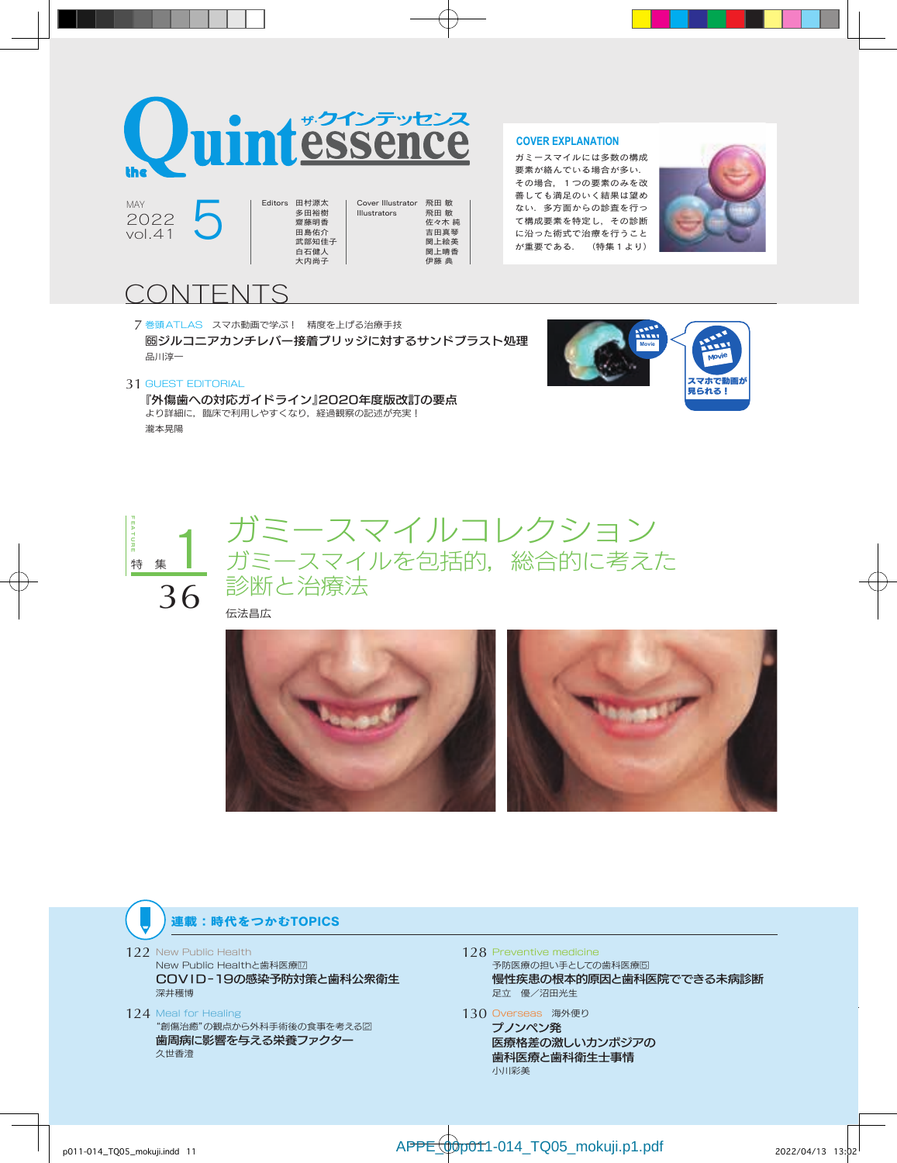

多田裕樹 齋藤明香 田島佑介 武部知佳子 白石健人 大内尚子

2022 vol.41  $2022$  5 Editors 田村源太

Cover Illustrator 飛田 敏 Illustrators 飛田 敏 佐々木 純 吉田真琴 関上絵美 関上晴香 伊藤 典

#### **COVER EXPLANATION**

ガミースマイルには多数の構成 要素が絡んでいる場合が多い. その場合,1つの要素のみを改 善しても満足のいく結果は望め ない.多方面からの診査を行っ て構成要素を特定し,その診断 に沿った術式で治療を行うこと が重要である. (特集1より)



# CONTENTS

7 巻頭ATLAS スマホ動画で学ぶ! 精度を上げる治療手技 ジルコニアカンチレバー接着ブリッジに対するサンドブラスト処理 品川淳一



#### 31 GUEST EDITORIAL

 『外傷歯への対応ガイドライン』2020年度版改訂の要点 より詳細に,臨床で利用しやすくなり,経過観察の記述が充実! 瀧本晃陽



ガミースマイルコレクション ガミースマイルを包括的,総合的に考えた 診断と治療法

伝法昌広



# 連載:時代をつかむTOPICS

- 122 New Public Health
	- New Public Healthと歯科医療 COVID-19の感染予防対策と歯科公衆衛生 深井穫博
- 124 Meal for Healing "創傷治癒"の観点から外科手術後の食事を考える2 歯周病に影響を与える栄養ファクター 久世香澄
- 128 Preventive medicine 予防医療の担い手としての歯科医療回 慢性疾患の根本的原因と歯科医院でできる未病診断 足立 優/沼田光生
- 130 Overseas 海外便り プノンペン発 医療格差の激しいカンボジアの 歯科医療と歯科衛生士事情 小川彩美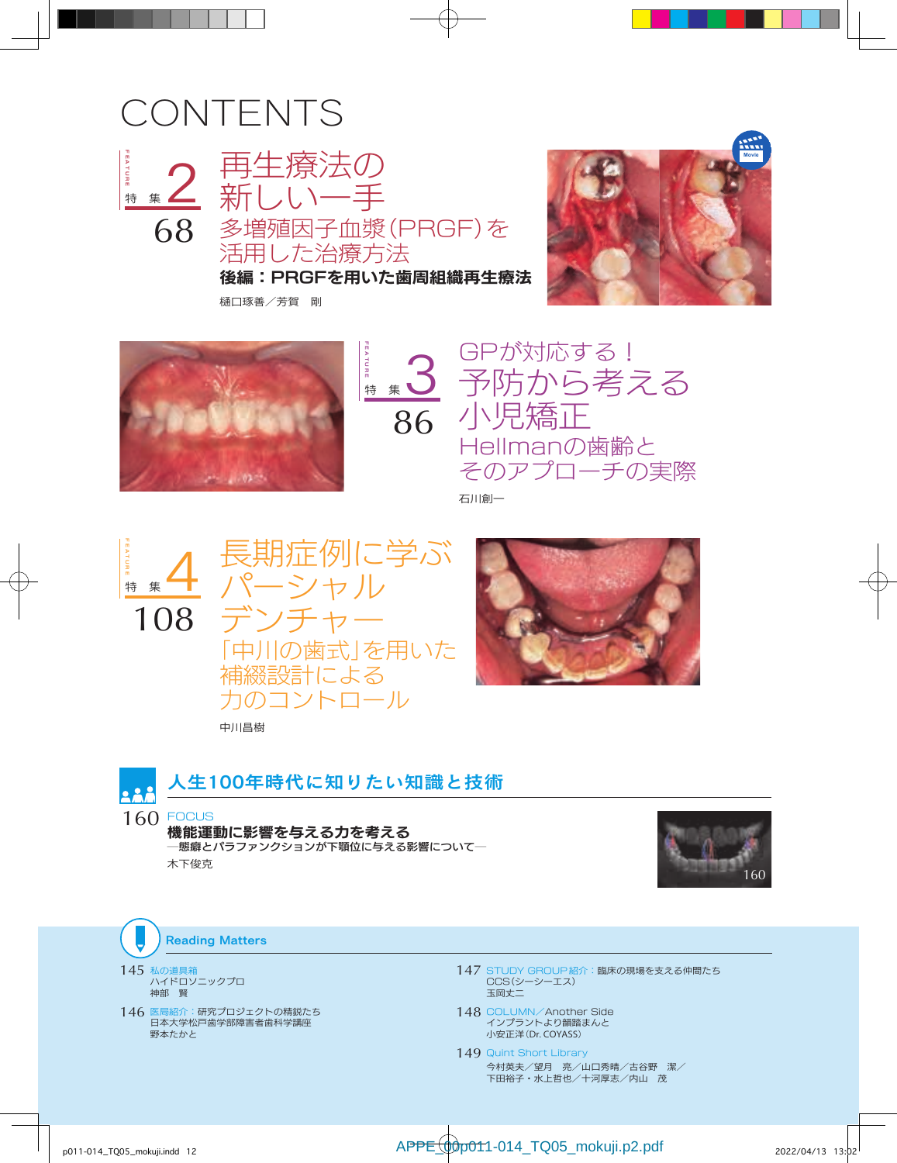# CONTENTS



再生療法の 新 多増殖因子血漿(PRGF)を 活用した治療方法

後編:PRGFを用いた歯周組織再生療法

樋口琢善/芳賀 剛





FEATURE 特 集 3 86

GPが対応する! 予防から考える 小児矯正 Hellmanの歯齢と そのアプローチの実際

石川創一









人生100年時代に知りたい知識と技術

160 **FOCUS** 機能運動に影響を与える力を考える ─態癖とパラファンクションが下顎位に与える影響について─ 木下俊克



**Reading Matters** 

145 私の道具箱 ハイドロソニックプロ 神部 賢

146 医局紹介:研究プロジェクトの精鋭たち 日本大学松戸歯学部障害者歯科学講座 野本たかと

- 147 STUDY GROUP紹介:臨床の現場を支える仲間たち CCS(シーシーエス) 玉岡丈二
- 148 COLUMN/Another Side インプラントより韻踏まんと 小安正洋(Dr. COYASS)

149 Quint Short Library 今村英夫/望月 亮/山口秀晴/古谷野 潔/ 下田裕子・水上哲也/十河厚志/内山 茂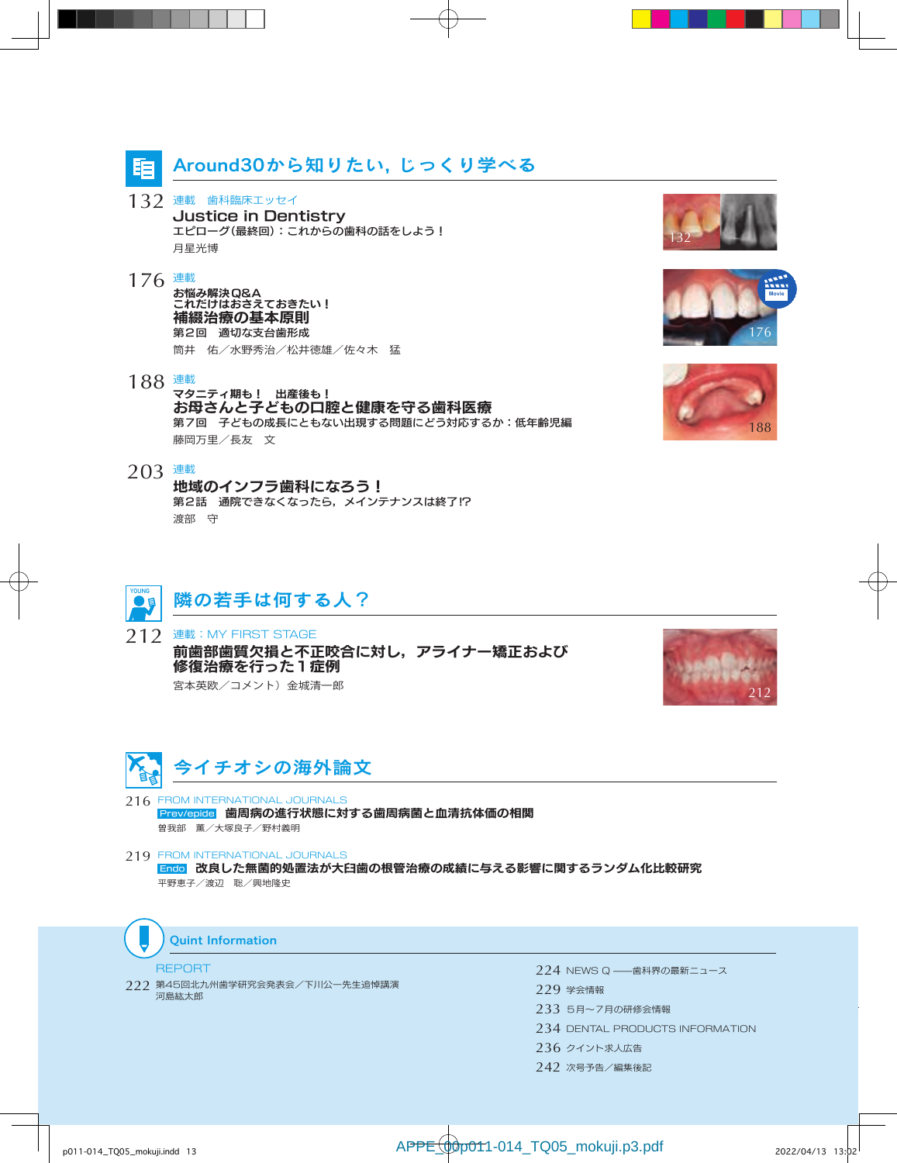

132 連載 歯科臨床エッセイ Justice in Dentistry エピローグ(最終回):これからの歯科の話をしよう! 月星光博

#### 176 連載

お悩み解決Q&A これだけはおさえておきたい! 補綴治療の基本原則 第2回 適切な支台歯形成 筒井 佑/水野秀治/松井徳雄/佐々木 猛

- 188 連載
	- マタニティ期も! 出産後も! お母さんと子どもの口腔と健康を守る歯科医療 第7回 子どもの成長にともない出現する問題にどう対応するか:低年齢児編 藤岡万里/長友 文
- 203 連載

地域のインフラ歯科になろう! 第2話 通院できなくなったら、メインテナンスは終了 !? 渡部 守



212 連載: MY FIRST STAGE 前歯部歯質欠損と不正咬合に対し,アライナー矯正および 修復治療を行った1症例 宮本英欧/コメント)金城清一郎





- 216 FROM INTERNATIONAL JOURNALS Prev/epide 歯周病の進行状態に対する歯周病菌と血清抗体価の相関 曽我部 薫/大塚良子/野村義明
- 219 FROM INTERNATIONAL JOURNALS Endo 改良した無菌的処置法が大臼歯の根管治療の成績に与える影響に関するランダム化比較研究 平野恵子/渡辺 聡/興地隆史



#### REPORT

222 第45回北九州歯学研究会発表会/下川公一先生追悼講演 河島紘太郎

- 224 NEWS Q ——歯科界の最新ニュース 229 学会情報 233 5月~7月の研修会情報 234 DENTAL PRODUCTS INFORMATION 236 クイント求人広告
- 242 次号予告/編集後記